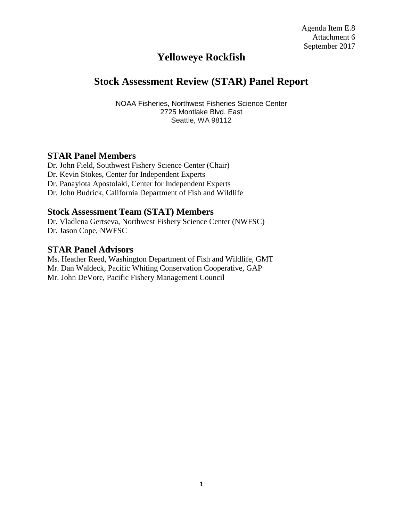# **Yelloweye Rockfish**

# **Stock Assessment Review (STAR) Panel Report**

NOAA Fisheries, Northwest Fisheries Science Center 2725 Montlake Blvd. East Seattle, WA 98112

### **STAR Panel Members**

Dr. John Field, Southwest Fishery Science Center (Chair) Dr. Kevin Stokes, Center for Independent Experts Dr. Panayiota Apostolaki, Center for Independent Experts Dr. John Budrick, California Department of Fish and Wildlife

#### **Stock Assessment Team (STAT) Members**

Dr. Vladlena Gertseva, Northwest Fishery Science Center (NWFSC) Dr. Jason Cope, NWFSC

#### **STAR Panel Advisors**

Ms. Heather Reed, Washington Department of Fish and Wildlife, GMT Mr. Dan Waldeck, Pacific Whiting Conservation Cooperative, GAP Mr. John DeVore, Pacific Fishery Management Council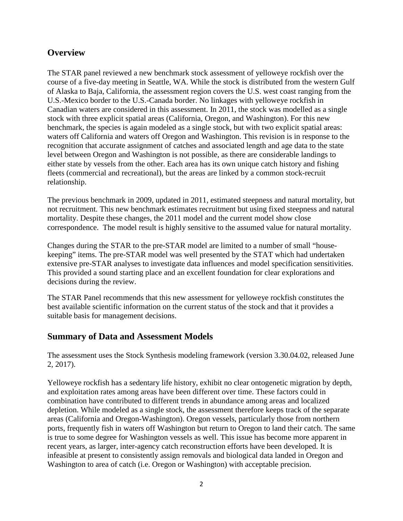## **Overview**

The STAR panel reviewed a new benchmark stock assessment of yelloweye rockfish over the course of a five-day meeting in Seattle, WA. While the stock is distributed from the western Gulf of Alaska to Baja, California, the assessment region covers the U.S. west coast ranging from the U.S.-Mexico border to the U.S.-Canada border. No linkages with yelloweye rockfish in Canadian waters are considered in this assessment. In 2011, the stock was modelled as a single stock with three explicit spatial areas (California, Oregon, and Washington). For this new benchmark, the species is again modeled as a single stock, but with two explicit spatial areas: waters off California and waters off Oregon and Washington. This revision is in response to the recognition that accurate assignment of catches and associated length and age data to the state level between Oregon and Washington is not possible, as there are considerable landings to either state by vessels from the other. Each area has its own unique catch history and fishing fleets (commercial and recreational), but the areas are linked by a common stock-recruit relationship.

The previous benchmark in 2009, updated in 2011, estimated steepness and natural mortality, but not recruitment. This new benchmark estimates recruitment but using fixed steepness and natural mortality. Despite these changes, the 2011 model and the current model show close correspondence. The model result is highly sensitive to the assumed value for natural mortality.

Changes during the STAR to the pre-STAR model are limited to a number of small "housekeeping" items. The pre-STAR model was well presented by the STAT which had undertaken extensive pre-STAR analyses to investigate data influences and model specification sensitivities. This provided a sound starting place and an excellent foundation for clear explorations and decisions during the review.

The STAR Panel recommends that this new assessment for yelloweye rockfish constitutes the best available scientific information on the current status of the stock and that it provides a suitable basis for management decisions.

## **Summary of Data and Assessment Models**

The assessment uses the Stock Synthesis modeling framework (version 3.30.04.02, released June 2, 2017).

Yelloweye rockfish has a sedentary life history, exhibit no clear ontogenetic migration by depth, and exploitation rates among areas have been different over time. These factors could in combination have contributed to different trends in abundance among areas and localized depletion. While modeled as a single stock, the assessment therefore keeps track of the separate areas (California and Oregon-Washington). Oregon vessels, particularly those from northern ports, frequently fish in waters off Washington but return to Oregon to land their catch. The same is true to some degree for Washington vessels as well. This issue has become more apparent in recent years, as larger, inter-agency catch reconstruction efforts have been developed. It is infeasible at present to consistently assign removals and biological data landed in Oregon and Washington to area of catch (i.e. Oregon or Washington) with acceptable precision.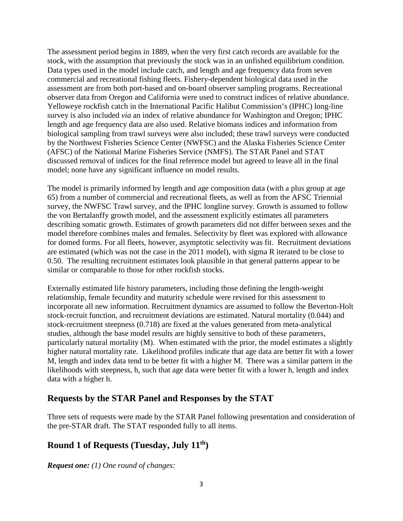The assessment period begins in 1889, when the very first catch records are available for the stock, with the assumption that previously the stock was in an unfished equilibrium condition. Data types used in the model include catch, and length and age frequency data from seven commercial and recreational fishing fleets. Fishery-dependent biological data used in the assessment are from both port-based and on-board observer sampling programs. Recreational observer data from Oregon and California were used to construct indices of relative abundance. Yelloweye rockfish catch in the International Pacific Halibut Commission's (IPHC) long-line survey is also included *via* an index of relative abundance for Washington and Oregon; IPHC length and age frequency data are also used. Relative biomass indices and information from biological sampling from trawl surveys were also included; these trawl surveys were conducted by the Northwest Fisheries Science Center (NWFSC) and the Alaska Fisheries Science Center (AFSC) of the National Marine Fisheries Service (NMFS). The STAR Panel and STAT discussed removal of indices for the final reference model but agreed to leave all in the final model; none have any significant influence on model results.

The model is primarily informed by length and age composition data (with a plus group at age 65) from a number of commercial and recreational fleets, as well as from the AFSC Triennial survey, the NWFSC Trawl survey, and the IPHC longline survey. Growth is assumed to follow the von Bertalanffy growth model, and the assessment explicitly estimates all parameters describing somatic growth. Estimates of growth parameters did not differ between sexes and the model therefore combines males and females. Selectivity by fleet was explored with allowance for domed forms. For all fleets, however, asymptotic selectivity was fit. Recruitment deviations are estimated (which was not the case in the 2011 model), with sigma R iterated to be close to 0.50. The resulting recruitment estimates look plausible in that general patterns appear to be similar or comparable to those for other rockfish stocks.

Externally estimated life history parameters, including those defining the length-weight relationship, female fecundity and maturity schedule were revised for this assessment to incorporate all new information. Recruitment dynamics are assumed to follow the Beverton-Holt stock-recruit function, and recruitment deviations are estimated. Natural mortality (0.044) and stock-recruitment steepness (0.718) are fixed at the values generated from meta-analytical studies, although the base model results are highly sensitive to both of these parameters, particularly natural mortality (M). When estimated with the prior, the model estimates a slightly higher natural mortality rate. Likelihood profiles indicate that age data are better fit with a lower M, length and index data tend to be better fit with a higher M. There was a similar pattern in the likelihoods with steepness, h, such that age data were better fit with a lower h, length and index data with a higher h.

### **Requests by the STAR Panel and Responses by the STAT**

Three sets of requests were made by the STAR Panel following presentation and consideration of the pre-STAR draft. The STAT responded fully to all items.

## **Round 1 of Requests (Tuesday, July 11th)**

*Request one: (1) One round of changes:*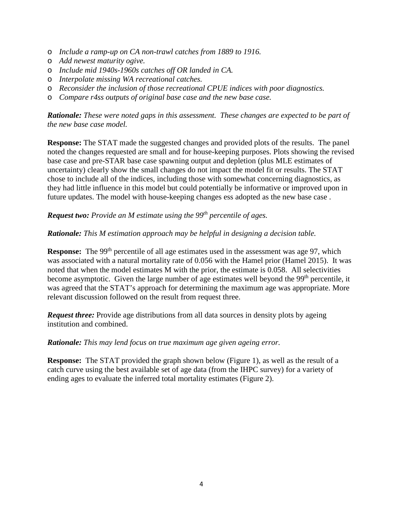- o *Include a ramp-up on CA non-trawl catches from 1889 to 1916.*
- o *Add newest maturity ogive.*
- o *Include mid 1940s-1960s catches off OR landed in CA.*
- o *Interpolate missing WA recreational catches.*
- o *Reconsider the inclusion of those recreational CPUE indices with poor diagnostics.*
- o *Compare r4ss outputs of original base case and the new base case.*

*Rationale: These were noted gaps in this assessment. These changes are expected to be part of the new base case model.*

**Response:** The STAT made the suggested changes and provided plots of the results. The panel noted the changes requested are small and for house-keeping purposes. Plots showing the revised base case and pre-STAR base case spawning output and depletion (plus MLE estimates of uncertainty) clearly show the small changes do not impact the model fit or results. The STAT chose to include all of the indices, including those with somewhat concerning diagnostics, as they had little influence in this model but could potentially be informative or improved upon in future updates. The model with house-keeping changes ess adopted as the new base case .

#### *Request two: Provide an M estimate using the 99th percentile of ages.*

#### *Rationale: This M estimation approach may be helpful in designing a decision table.*

**Response:** The 99<sup>th</sup> percentile of all age estimates used in the assessment was age 97, which was associated with a natural mortality rate of 0.056 with the Hamel prior (Hamel 2015). It was noted that when the model estimates M with the prior, the estimate is 0.058. All selectivities become asymptotic. Given the large number of age estimates well beyond the 99<sup>th</sup> percentile, it was agreed that the STAT's approach for determining the maximum age was appropriate. More relevant discussion followed on the result from request three.

*Request three:* Provide age distributions from all data sources in density plots by ageing institution and combined.

#### *Rationale: This may lend focus on true maximum age given ageing error.*

**Response:** The STAT provided the graph shown below (Figure 1), as well as the result of a catch curve using the best available set of age data (from the IHPC survey) for a variety of ending ages to evaluate the inferred total mortality estimates (Figure 2).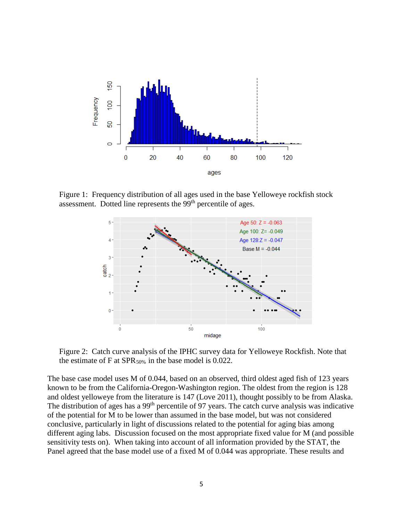

Figure 1: Frequency distribution of all ages used in the base Yelloweye rockfish stock assessment. Dotted line represents the 99th percentile of ages.



Figure 2: Catch curve analysis of the IPHC survey data for Yelloweye Rockfish. Note that the estimate of F at  $SPR_{50\%}$  in the base model is 0.022.

The base case model uses M of 0.044, based on an observed, third oldest aged fish of 123 years known to be from the California-Oregon-Washington region. The oldest from the region is 128 and oldest yelloweye from the literature is 147 (Love 2011), thought possibly to be from Alaska. The distribution of ages has a 99<sup>th</sup> percentile of 97 years. The catch curve analysis was indicative of the potential for M to be lower than assumed in the base model, but was not considered conclusive, particularly in light of discussions related to the potential for aging bias among different aging labs. Discussion focused on the most appropriate fixed value for M (and possible sensitivity tests on). When taking into account of all information provided by the STAT, the Panel agreed that the base model use of a fixed M of 0.044 was appropriate. These results and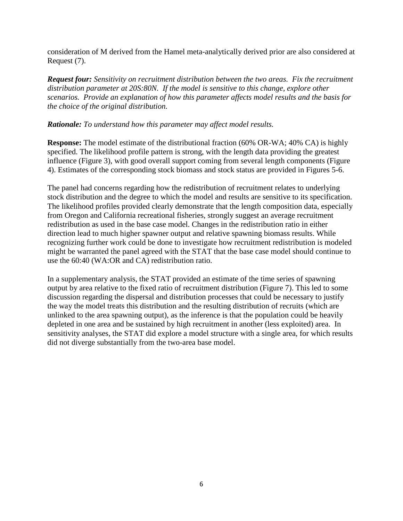consideration of M derived from the Hamel meta-analytically derived prior are also considered at Request (7).

*Request four: Sensitivity on recruitment distribution between the two areas. Fix the recruitment distribution parameter at 20S:80N. If the model is sensitive to this change, explore other scenarios. Provide an explanation of how this parameter affects model results and the basis for the choice of the original distribution.*

#### *Rationale: To understand how this parameter may affect model results.*

**Response:** The model estimate of the distributional fraction (60% OR-WA; 40% CA) is highly specified. The likelihood profile pattern is strong, with the length data providing the greatest influence (Figure 3), with good overall support coming from several length components (Figure 4). Estimates of the corresponding stock biomass and stock status are provided in Figures 5-6.

The panel had concerns regarding how the redistribution of recruitment relates to underlying stock distribution and the degree to which the model and results are sensitive to its specification. The likelihood profiles provided clearly demonstrate that the length composition data, especially from Oregon and California recreational fisheries, strongly suggest an average recruitment redistribution as used in the base case model. Changes in the redistribution ratio in either direction lead to much higher spawner output and relative spawning biomass results. While recognizing further work could be done to investigate how recruitment redistribution is modeled might be warranted the panel agreed with the STAT that the base case model should continue to use the 60:40 (WA:OR and CA) redistribution ratio.

In a supplementary analysis, the STAT provided an estimate of the time series of spawning output by area relative to the fixed ratio of recruitment distribution (Figure 7). This led to some discussion regarding the dispersal and distribution processes that could be necessary to justify the way the model treats this distribution and the resulting distribution of recruits (which are unlinked to the area spawning output), as the inference is that the population could be heavily depleted in one area and be sustained by high recruitment in another (less exploited) area. In sensitivity analyses, the STAT did explore a model structure with a single area, for which results did not diverge substantially from the two-area base model.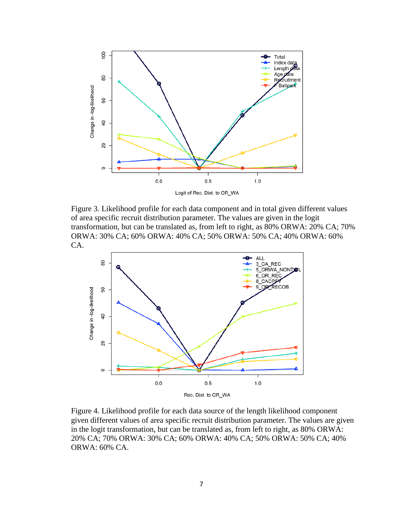

Figure 3. Likelihood profile for each data component and in total given different values of area specific recruit distribution parameter. The values are given in the logit transformation, but can be translated as, from left to right, as 80% ORWA: 20% CA; 70% ORWA: 30% CA; 60% ORWA: 40% CA; 50% ORWA: 50% CA; 40% ORWA: 60% CA.



Figure 4. Likelihood profile for each data source of the length likelihood component given different values of area specific recruit distribution parameter. The values are given in the logit transformation, but can be translated as, from left to right, as 80% ORWA: 20% CA; 70% ORWA: 30% CA; 60% ORWA: 40% CA; 50% ORWA: 50% CA; 40% ORWA: 60% CA.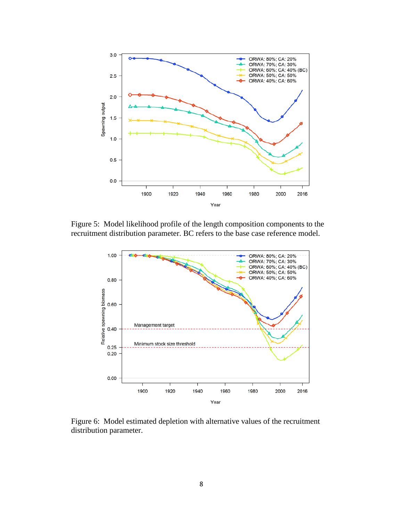

Figure 5: Model likelihood profile of the length composition components to the recruitment distribution parameter. BC refers to the base case reference model.



Figure 6: Model estimated depletion with alternative values of the recruitment distribution parameter.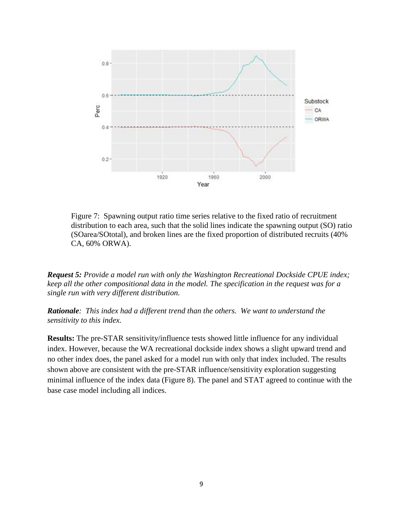

Figure 7: Spawning output ratio time series relative to the fixed ratio of recruitment distribution to each area, such that the solid lines indicate the spawning output (SO) ratio (SOarea/SOtotal), and broken lines are the fixed proportion of distributed recruits (40% CA, 60% ORWA).

*Request 5: Provide a model run with only the Washington Recreational Dockside CPUE index; keep all the other compositional data in the model. The specification in the request was for a single run with very different distribution.*

*Rationale: This index had a different trend than the others. We want to understand the sensitivity to this index.*

**Results:** The pre-STAR sensitivity/influence tests showed little influence for any individual index. However, because the WA recreational dockside index shows a slight upward trend and no other index does, the panel asked for a model run with only that index included. The results shown above are consistent with the pre-STAR influence/sensitivity exploration suggesting minimal influence of the index data (Figure 8). The panel and STAT agreed to continue with the base case model including all indices.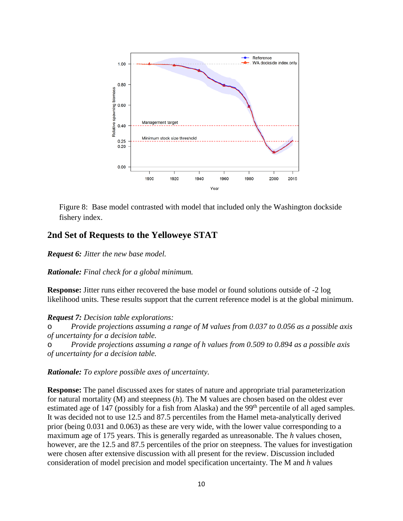

Figure 8: Base model contrasted with model that included only the Washington dockside fishery index.

#### **2nd Set of Requests to the Yelloweye STAT**

*Request 6: Jitter the new base model.*

*Rationale: Final check for a global minimum.*

**Response:** Jitter runs either recovered the base model or found solutions outside of -2 log likelihood units. These results support that the current reference model is at the global minimum.

*Request 7: Decision table explorations:*

o *Provide projections assuming a range of M values from 0.037 to 0.056 as a possible axis of uncertainty for a decision table.*

o *Provide projections assuming a range of h values from 0.509 to 0.894 as a possible axis of uncertainty for a decision table.*

*Rationale: To explore possible axes of uncertainty.*

**Response:** The panel discussed axes for states of nature and appropriate trial parameterization for natural mortality (M) and steepness (*h*). The M values are chosen based on the oldest ever estimated age of 147 (possibly for a fish from Alaska) and the 99<sup>th</sup> percentile of all aged samples. It was decided not to use 12.5 and 87.5 percentiles from the Hamel meta-analytically derived prior (being 0.031 and 0.063) as these are very wide, with the lower value corresponding to a maximum age of 175 years. This is generally regarded as unreasonable. The *h* values chosen, however, are the 12.5 and 87.5 percentiles of the prior on steepness. The values for investigation were chosen after extensive discussion with all present for the review. Discussion included consideration of model precision and model specification uncertainty. The M and *h* values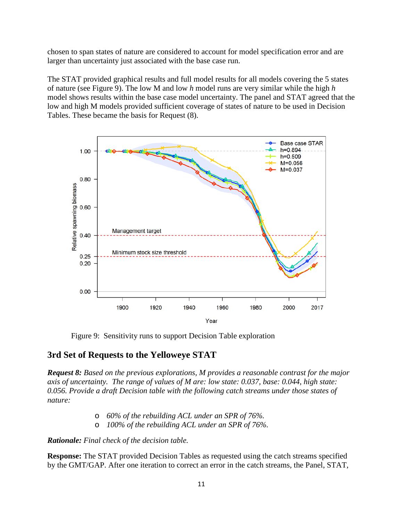chosen to span states of nature are considered to account for model specification error and are larger than uncertainty just associated with the base case run.

The STAT provided graphical results and full model results for all models covering the 5 states of nature (see Figure 9). The low M and low *h* model runs are very similar while the high *h* model shows results within the base case model uncertainty. The panel and STAT agreed that the low and high M models provided sufficient coverage of states of nature to be used in Decision Tables. These became the basis for Request (8).



Figure 9: Sensitivity runs to support Decision Table exploration

## **3rd Set of Requests to the Yelloweye STAT**

*Request 8: Based on the previous explorations, M provides a reasonable contrast for the major axis of uncertainty. The range of values of M are: low state: 0.037, base: 0.044, high state: 0.056. Provide a draft Decision table with the following catch streams under those states of nature:*

- o *60% of the rebuilding ACL under an SPR of 76%.*
- o *100% of the rebuilding ACL under an SPR of 76%.*

*Rationale: Final check of the decision table.*

**Response:** The STAT provided Decision Tables as requested using the catch streams specified by the GMT/GAP. After one iteration to correct an error in the catch streams, the Panel, STAT,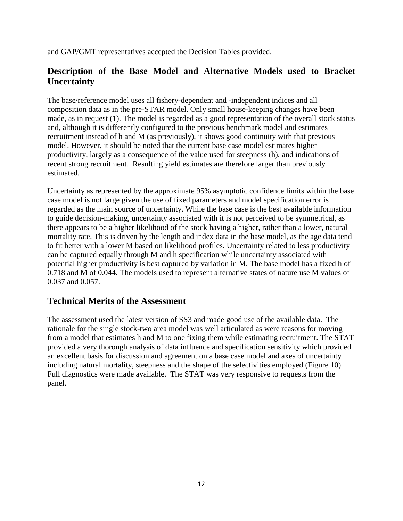and GAP/GMT representatives accepted the Decision Tables provided.

## **Description of the Base Model and Alternative Models used to Bracket Uncertainty**

The base/reference model uses all fishery-dependent and -independent indices and all composition data as in the pre-STAR model. Only small house-keeping changes have been made, as in request (1). The model is regarded as a good representation of the overall stock status and, although it is differently configured to the previous benchmark model and estimates recruitment instead of h and M (as previously), it shows good continuity with that previous model. However, it should be noted that the current base case model estimates higher productivity, largely as a consequence of the value used for steepness (h), and indications of recent strong recruitment. Resulting yield estimates are therefore larger than previously estimated.

Uncertainty as represented by the approximate 95% asymptotic confidence limits within the base case model is not large given the use of fixed parameters and model specification error is regarded as the main source of uncertainty. While the base case is the best available information to guide decision-making, uncertainty associated with it is not perceived to be symmetrical, as there appears to be a higher likelihood of the stock having a higher, rather than a lower, natural mortality rate. This is driven by the length and index data in the base model, as the age data tend to fit better with a lower M based on likelihood profiles. Uncertainty related to less productivity can be captured equally through M and h specification while uncertainty associated with potential higher productivity is best captured by variation in M. The base model has a fixed h of 0.718 and M of 0.044. The models used to represent alternative states of nature use M values of 0.037 and 0.057.

## **Technical Merits of the Assessment**

The assessment used the latest version of SS3 and made good use of the available data. The rationale for the single stock-two area model was well articulated as were reasons for moving from a model that estimates h and M to one fixing them while estimating recruitment. The STAT provided a very thorough analysis of data influence and specification sensitivity which provided an excellent basis for discussion and agreement on a base case model and axes of uncertainty including natural mortality, steepness and the shape of the selectivities employed (Figure 10). Full diagnostics were made available. The STAT was very responsive to requests from the panel.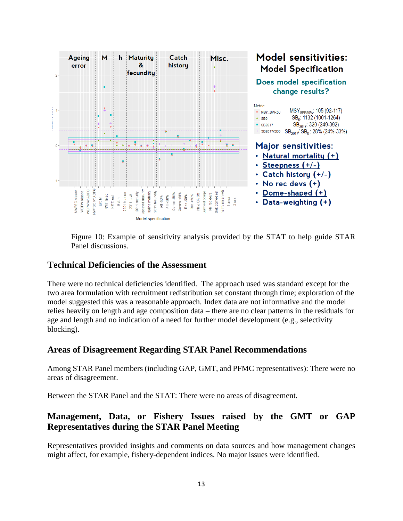

Figure 10: Example of sensitivity analysis provided by the STAT to help guide STAR Panel discussions.

### **Technical Deficiencies of the Assessment**

There were no technical deficiencies identified. The approach used was standard except for the two area formulation with recruitment redistribution set constant through time; exploration of the model suggested this was a reasonable approach. Index data are not informative and the model relies heavily on length and age composition data – there are no clear patterns in the residuals for age and length and no indication of a need for further model development (e.g., selectivity blocking).

### **Areas of Disagreement Regarding STAR Panel Recommendations**

Among STAR Panel members (including GAP, GMT, and PFMC representatives): There were no areas of disagreement.

Between the STAR Panel and the STAT: There were no areas of disagreement.

# **Management, Data, or Fishery Issues raised by the GMT or GAP Representatives during the STAR Panel Meeting**

Representatives provided insights and comments on data sources and how management changes might affect, for example, fishery-dependent indices. No major issues were identified.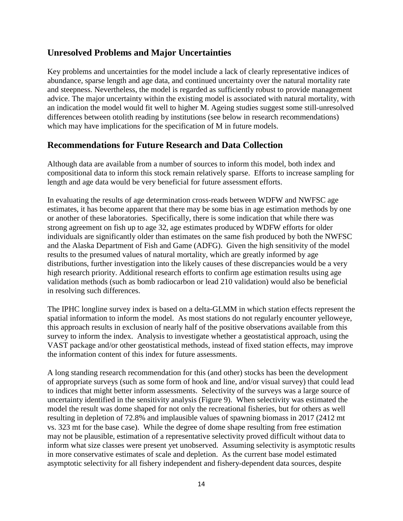### **Unresolved Problems and Major Uncertainties**

Key problems and uncertainties for the model include a lack of clearly representative indices of abundance, sparse length and age data, and continued uncertainty over the natural mortality rate and steepness. Nevertheless, the model is regarded as sufficiently robust to provide management advice. The major uncertainty within the existing model is associated with natural mortality, with an indication the model would fit well to higher M. Ageing studies suggest some still-unresolved differences between otolith reading by institutions (see below in research recommendations) which may have implications for the specification of M in future models.

### **Recommendations for Future Research and Data Collection**

Although data are available from a number of sources to inform this model, both index and compositional data to inform this stock remain relatively sparse. Efforts to increase sampling for length and age data would be very beneficial for future assessment efforts.

In evaluating the results of age determination cross-reads between WDFW and NWFSC age estimates, it has become apparent that there may be some bias in age estimation methods by one or another of these laboratories. Specifically, there is some indication that while there was strong agreement on fish up to age 32, age estimates produced by WDFW efforts for older individuals are significantly older than estimates on the same fish produced by both the NWFSC and the Alaska Department of Fish and Game (ADFG). Given the high sensitivity of the model results to the presumed values of natural mortality, which are greatly informed by age distributions, further investigation into the likely causes of these discrepancies would be a very high research priority. Additional research efforts to confirm age estimation results using age validation methods (such as bomb radiocarbon or lead 210 validation) would also be beneficial in resolving such differences.

The IPHC longline survey index is based on a delta-GLMM in which station effects represent the spatial information to inform the model. As most stations do not regularly encounter yelloweye, this approach results in exclusion of nearly half of the positive observations available from this survey to inform the index. Analysis to investigate whether a geostatistical approach, using the VAST package and/or other geostatistical methods, instead of fixed station effects, may improve the information content of this index for future assessments.

A long standing research recommendation for this (and other) stocks has been the development of appropriate surveys (such as some form of hook and line, and/or visual survey) that could lead to indices that might better inform assessments. Selectivity of the surveys was a large source of uncertainty identified in the sensitivity analysis (Figure 9). When selectivity was estimated the model the result was dome shaped for not only the recreational fisheries, but for others as well resulting in depletion of 72.8% and implausible values of spawning biomass in 2017 (2412 mt vs. 323 mt for the base case). While the degree of dome shape resulting from free estimation may not be plausible, estimation of a representative selectivity proved difficult without data to inform what size classes were present yet unobserved. Assuming selectivity is asymptotic results in more conservative estimates of scale and depletion. As the current base model estimated asymptotic selectivity for all fishery independent and fishery-dependent data sources, despite